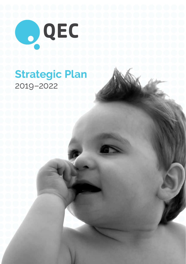

# **Strategic Plan**  2019–2022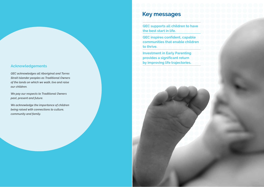#### **Acknowledgements**

*QEC acknowledges all Aboriginal and Torres Strait Islander peoples as Traditional Owners of the lands on which we walk, live and raise our children.* 

*We pay our respects to Traditional Owners past, present and future.* 

*We acknowledge the importance of children being raised with connections to culture, community and family.*

## **Key messages**

**QEC supports all children to have the best start in life.** 

**QEC inspires confident, capable communities that enable children to thrive.** 

**Investment in Early Parenting provides a significant return by improving life trajectories.**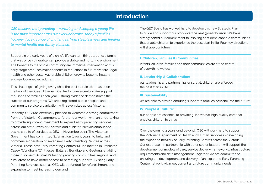### **Introduction**

*QEC believes that parenting – nurturing and shaping a young life – is the most important task we ever undertake. Today's families, however, face a range of challenges: from sleeplessness and feeding, to mental health and family violence.* 

Support in the early years of a child's life can turn things around; a family that was once vulnerable, can provide a stable and nurturing environment. The benefits to the whole community are immense; intervention at this early stage produces major benefits in reductions to future welfare, legal, health and other costs. Vulnerable children grow to become healthy, engaged, connected adults.

This challenge - of giving every child the best start in life – has been the task of the Queen Elizabeth Centre for over a century. We support thousands of families each year – strong evidence demonstrates the success of our programs. We are a registered public hospital and community service organisation, with seven sites across Victoria.

Recently, QEC was extremely pleased to welcome a strong commitment from the Victorian Government to further our work – with an undertaking to provide significant investment to expand early parenting services across our state. Premier Andrews and Minister Mikakos announced this new suite of services at QEC in November 2019. The Victorian Government has committed \$135 million (over 5 years) to build and commence operation of seven new Early Parenting Centres across Victoria. These new Early Parenting Centres will be located in Frankston, Casey, Wyndham, Whittlesea, Ballarat, Bendigo and Geelong, enabling those in some of Australia's fasting growing communities, regional and rural areas to have better access to parenting supports. Existing Early Parenting Services, such as QEC will be funded for refurbishment and expansion to meet increasing demand.

The QEC Board has worked hard to develop this new Strategic Plan to guide and support our work over the next 3-year horizon. We have strengthened our commitment to inspiring confident, capable communities that enable children to experience the best start in life. Four key directions will shape our future:

#### **I. Children, Families & Communities:**

infants, children, families and their communities are at the centre of everything we do;

#### **II. Leadership & Collaboration:**

our leadership and partnerships ensure all children are afforded the best start in life;

#### **III. Sustainability:**

we are able to provide enduring support to families now and into the future;

#### **IV. People & Culture:**

our people are essential to providing, innovative, high quality care that enables children to thrive.

Over the coming 3 years (and beyond), QEC will work hard to support the Victorian Department of Health and Human Services in developing the expanded network of Early Parenting Centres across the Victoria. Our expertise - in partnership with other sector leaders - will support the development of models of care, service delivery frameworks, infrastructure requirements and data management. Together, we are committed to ensuring the development and delivery of an expanded Early Parenting Centre network will meet current and future community needs.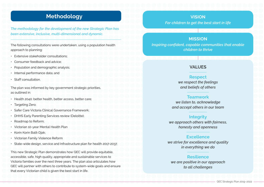## **Methodology**

*The methodology for the development of the new Strategic Plan has been extensive, inclusive, multi-dimensional and dynamic.* 

The following consultations were undertaken, using a population health approach to planning:

- Extensive stakeholder consultations;
- Consumer feedback and advice;
- Population and demographic analysis;
- Internal performance data; and
- Staff consultation.

The plan was informed by key government strategic priorities, as outlined in:

- Health 2040: better health, better access, better care;
- Targeting Zero;
- Safer Care Victoria Clinical Governance Framework;
- DHHS Early Parenting Services review (Deloitte);
- Roadmap to Reform;
- Victorian 10-year Mental Health Plan
- Korin Korin Balit-Djak;
- Victorian Family Violence Reform
- State-wide design, service and Infrastructure plan for health 2017-2037.

This new Strategic Plan demonstrates how QEC will provide equitable, accessible, safe, high quality, appropriate and sustainable services to Victoria families over the next three years. The plan also articulates how QEC will partner with others to contribute to system-wide goals and ensure that every Victorian child is given the best start in life.

#### **VISION**

*For children to get the best start in life* 

#### **MISSION**

*Inspiring confident, capable communities that enable children to thrive* 

#### **VALUES**

### **Respect**

*we respect the feelings and beliefs of others*

#### **Teamwork**

*we listen to, acknowledge and accept others in our team*

#### **Integrity**

*we approach others with fairness, honesty and openness*

#### **Excellence**

*we strive for excellence and quality in everything we do*

#### **Resilience**

*we are positive in our approach to all challenges*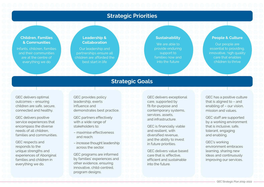### **Strategic Priorities**

#### **Children, Families & Communities**

Infants, children, families and their communities are at the centre of everything we do

#### **Leadership & Collaboration**

Our leadership and partnerships ensure all children are afforded the best start in life

#### **Sustainability**

We are able to provide enduring support to families now and into the future

#### **People & Culture**

Our people are essential to providing, innovative, high quality care that enables children to thrive

### **Strategic Goals**

QEC delivers optimal outcomes – ensuring children are safe, secure, connected and healthy.

QEC delivers positive service experiences that encompass the diverse needs of all children, families and communities.

QEC respects and responds to the unique strengths and experiences of Aboriginal families and children in everything we do.

QEC provides policy leadership, exerts influence and demonstrates best practice.

QEC partners effectively with a wide range of stakeholders to:

- maximise effectiveness and reach;
- increase thought leadership across the sector.

QEC programs are informed by families' experiences and other evidence, ensuring innovative, child-centred, program designs.

QEC delivers exceptional care, supported by fit-for-purpose and contemporary systems, services, assets and infrastructure.

QEC is financially viable and resilient, with diversified revenue, and the ability to invest in future priorities.

QEC delivers value based care that is: effective, efficient and sustainable into the future.

QEC has a positive culture that is aligned to – and enabling of – our vision, mission and values.

QEC staff are supported by a working environment that is inclusive, safe, tolerant, engaging and enabling.

QEC's working environment embraces learning, sharing new ideas and continuously improving our services.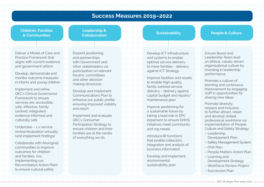### **Success Measures 2019–2022**

#### **Children, Families & Communities**

**Leadership & Collaboration 1996**<br> **Sustainability People & Culture** 

Deliver a Model of Care and Practice Framework that aligns with current evidence and government reform

Develop, demonstrate and monitor outcome measures in infants and young children

Implement and refine QEC's Clinical Governance Framework to ensure services are: accessible, safe, effective, family centred, integrated, evidence informed and culturally safe

Undertake – 1 x service review/evaluation annually (and implement findings)

Collaborate with Aboriginal communities to improve outcomes for children and families, (via implementing our Reconciliation Action Plan) to ensure cultural safety

Expand positioning and partnerships with Government and other stakeholders via participation on relevant forums, committees and other decision making structures

Develop and implement Communications Plan to enhance our public profile ensuring improved visibility and reach

Implement and evaluate QEC's Consumer Participation Strategy to ensure children and their families are at the centre of everything we do

Develop ICT infrastructure and systems to enable optimal service delivery to more families - delivery against ICT Strategy

Improve facilities and assets to enable high quality. family centred service delivery – delivery against capital budget and repairs/ maintenance plan

Improve positioning for a sustainable future by taking a lead role in EPC expansion to ensure DHHS initiatives meet community and org needs

Introduce BI functions that enable collection, integration and analysis of business information

Develop and implement environmental sustainability plan

Ensure Board and Leadership Team lead an ethical, values-driven organisational culture by investing in leadership performance

Promote a culture of learning and continuous improvement by engaging staff in opportunities for sharing new ideas

Promote diversity, respect and inclusion to further attract, retain and develop skilled, professional workforce via implementation of People, Culture and Safety Strategy:

- Leadership Development Plan
- Safety Management System
- OVA Plan
- People Matters Action Plan
- Learning and Development Strategy
- Workforce Review Project
- Succession Plan